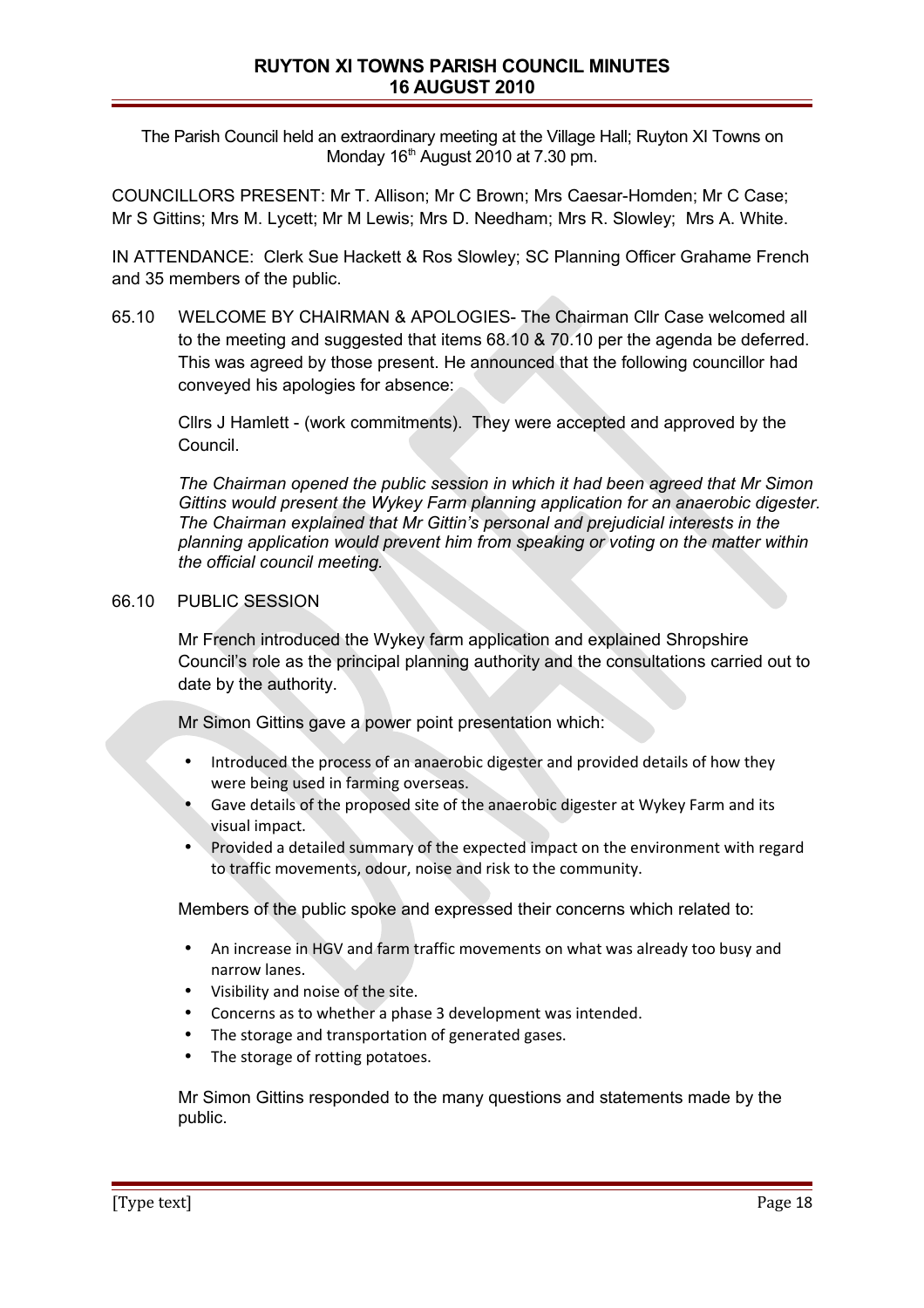The Parish Council held an extraordinary meeting at the Village Hall; Ruyton XI Towns on Monday  $16<sup>th</sup>$  August 2010 at 7.30 pm.

COUNCILLORS PRESENT: Mr T. Allison; Mr C Brown; Mrs Caesar-Homden; Mr C Case; Mr S Gittins; Mrs M. Lycett; Mr M Lewis; Mrs D. Needham; Mrs R. Slowley; Mrs A. White.

IN ATTENDANCE: Clerk Sue Hackett & Ros Slowley; SC Planning Officer Grahame French and 35 members of the public.

65.10 WELCOME BY CHAIRMAN & APOLOGIES- The Chairman Cllr Case welcomed all to the meeting and suggested that items 68.10 & 70.10 per the agenda be deferred. This was agreed by those present. He announced that the following councillor had conveyed his apologies for absence:

Cllrs J Hamlett - (work commitments). They were accepted and approved by the Council.

*The Chairman opened the public session in which it had been agreed that Mr Simon Gittins would present the Wykey Farm planning application for an anaerobic digester. The Chairman explained that Mr Gittin's personal and prejudicial interests in the planning application would prevent him from speaking or voting on the matter within the official council meeting.* 

## 66.10 PUBLIC SESSION

Mr French introduced the Wykey farm application and explained Shropshire Council's role as the principal planning authority and the consultations carried out to date by the authority.

Mr Simon Gittins gave a power point presentation which:

- Introduced the process of an anaerobic digester and provided details of how they were being used in farming overseas.
- Gave details of the proposed site of the anaerobic digester at Wykey Farm and its visual impact.
- Provided a detailed summary of the expected impact on the environment with regard to traffic movements, odour, noise and risk to the community.

Members of the public spoke and expressed their concerns which related to:

- An increase in HGV and farm traffic movements on what was already too busy and narrow lanes.
- Visibility and noise of the site.
- Concerns as to whether a phase 3 development was intended.
- The storage and transportation of generated gases.
- The storage of rotting potatoes.

Mr Simon Gittins responded to the many questions and statements made by the public.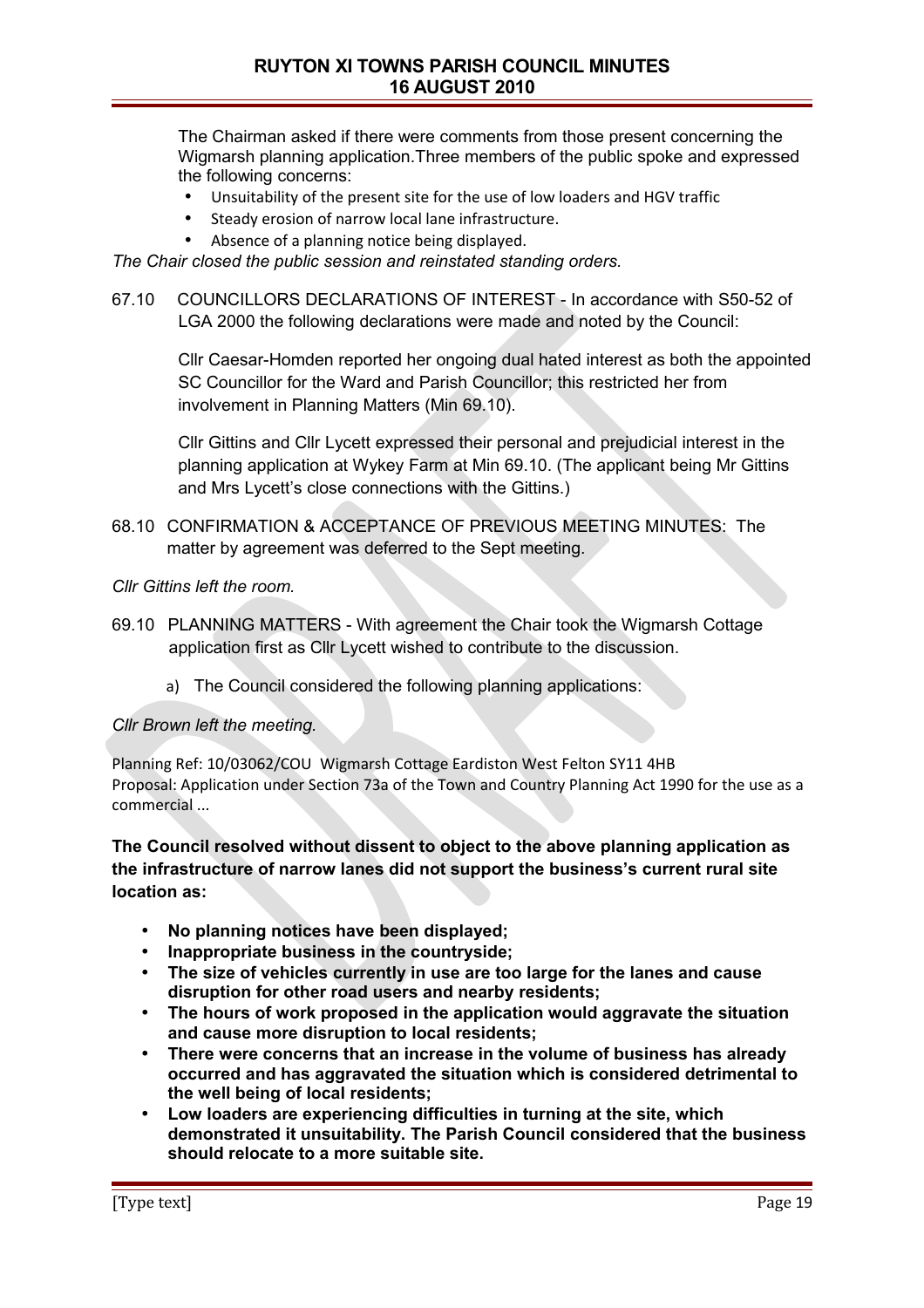The Chairman asked if there were comments from those present concerning the Wigmarsh planning application.Three members of the public spoke and expressed the following concerns:

- Unsuitability of the present site for the use of low loaders and HGV traffic
- Steady erosion of narrow local lane infrastructure.
- Absence of a planning notice being displayed.

*The Chair closed the public session and reinstated standing orders.*

67.10 COUNCILLORS DECLARATIONS OF INTEREST - In accordance with S50-52 of LGA 2000 the following declarations were made and noted by the Council:

Cllr Caesar-Homden reported her ongoing dual hated interest as both the appointed SC Councillor for the Ward and Parish Councillor; this restricted her from involvement in Planning Matters (Min 69.10).

Cllr Gittins and Cllr Lycett expressed their personal and prejudicial interest in the planning application at Wykey Farm at Min 69.10. (The applicant being Mr Gittins and Mrs Lycett's close connections with the Gittins.)

68.10 CONFIRMATION & ACCEPTANCE OF PREVIOUS MEETING MINUTES: The matter by agreement was deferred to the Sept meeting.

*Cllr Gittins left the room.* 

- 69.10 PLANNING MATTERS With agreement the Chair took the Wigmarsh Cottage application first as Cllr Lycett wished to contribute to the discussion.
	- a) The Council considered the following planning applications:

## *Cllr Brown left the meeting.*

Planning Ref: 10/03062/COU Wigmarsh Cottage Eardiston West Felton SY11 4HB Proposal: Application under Section 73a of the Town and Country Planning Act 1990 for the use as a commercial ...

**The Council resolved without dissent to object to the above planning application as the infrastructure of narrow lanes did not support the business's current rural site location as:**

- **No planning notices have been displayed;**
- **Inappropriate business in the countryside;**
- **The size of vehicles currently in use are too large for the lanes and cause disruption for other road users and nearby residents;**
- **The hours of work proposed in the application would aggravate the situation and cause more disruption to local residents;**
- **There were concerns that an increase in the volume of business has already occurred and has aggravated the situation which is considered detrimental to the well being of local residents;**
- **Low loaders are experiencing difficulties in turning at the site, which demonstrated it unsuitability. The Parish Council considered that the business should relocate to a more suitable site.**